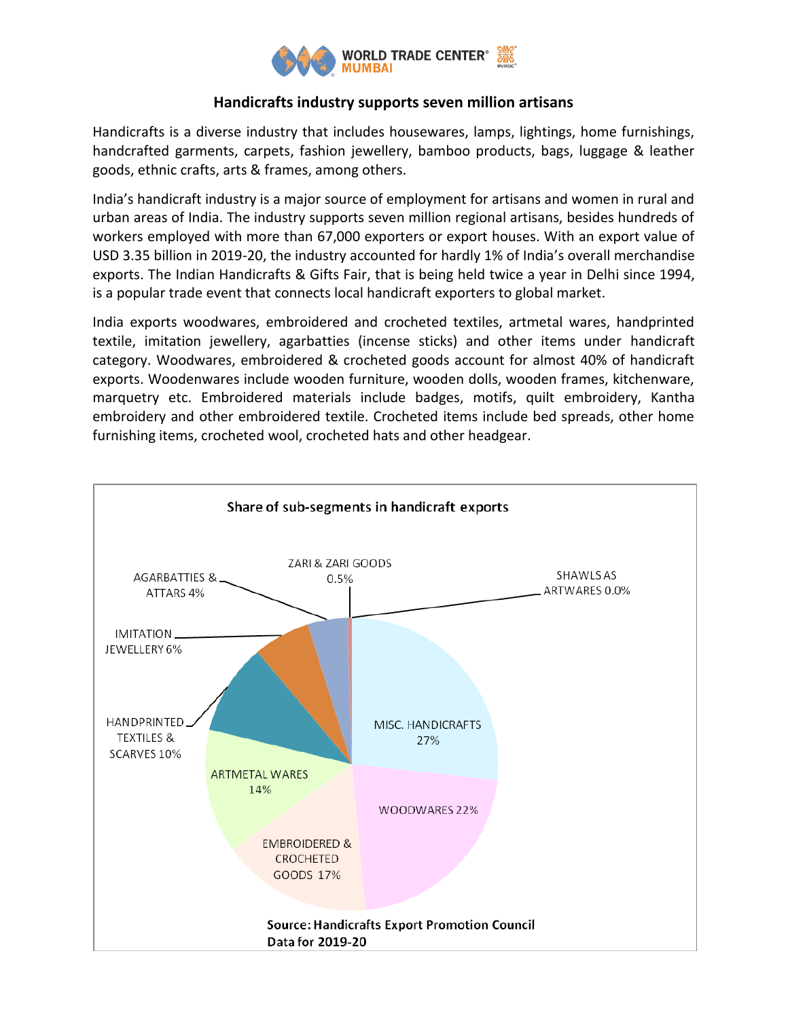

# **Handicrafts industry supports seven million artisans**

Handicrafts is a diverse industry that includes housewares, lamps, lightings, home furnishings, handcrafted garments, carpets, fashion jewellery, bamboo products, bags, luggage & leather goods, ethnic crafts, arts & frames, among others.

India's handicraft industry is a major source of employment for artisans and women in rural and urban areas of India. The industry supports seven million regional artisans, besides hundreds of workers employed with more than 67,000 exporters or export houses. With an export value of USD 3.35 billion in 2019-20, the industry accounted for hardly 1% of India's overall merchandise exports. The Indian Handicrafts & Gifts Fair, that is being held twice a year in Delhi since 1994, is a popular trade event that connects local handicraft exporters to global market.

India exports woodwares, embroidered and crocheted textiles, artmetal wares, handprinted textile, imitation jewellery, agarbatties (incense sticks) and other items under handicraft category. Woodwares, embroidered & crocheted goods account for almost 40% of handicraft exports. Woodenwares include wooden furniture, wooden dolls, wooden frames, kitchenware, marquetry etc. Embroidered materials include badges, motifs, quilt embroidery, Kantha embroidery and other embroidered textile. Crocheted items include bed spreads, other home furnishing items, crocheted wool, crocheted hats and other headgear.

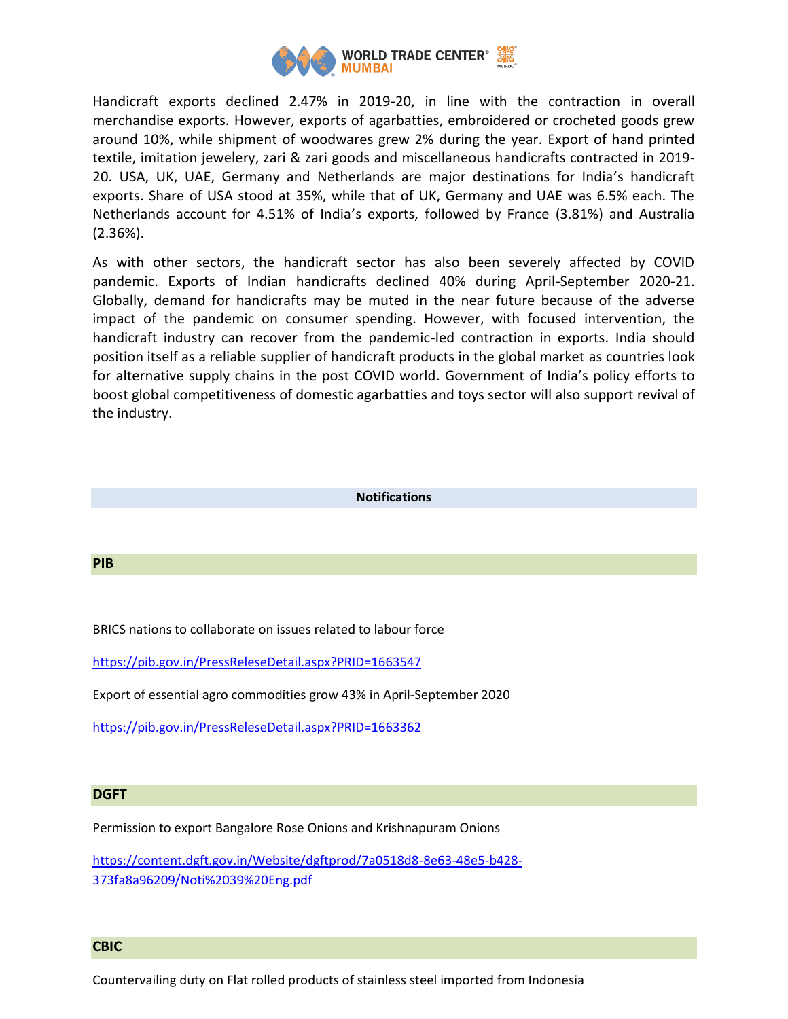

Handicraft exports declined 2.47% in 2019-20, in line with the contraction in overall merchandise exports. However, exports of agarbatties, embroidered or crocheted goods grew around 10%, while shipment of woodwares grew 2% during the year. Export of hand printed textile, imitation jewelery, zari & zari goods and miscellaneous handicrafts contracted in 2019- 20. USA, UK, UAE, Germany and Netherlands are major destinations for India's handicraft exports. Share of USA stood at 35%, while that of UK, Germany and UAE was 6.5% each. The Netherlands account for 4.51% of India's exports, followed by France (3.81%) and Australia (2.36%).

As with other sectors, the handicraft sector has also been severely affected by COVID pandemic. Exports of Indian handicrafts declined 40% during April-September 2020-21. Globally, demand for handicrafts may be muted in the near future because of the adverse impact of the pandemic on consumer spending. However, with focused intervention, the handicraft industry can recover from the pandemic-led contraction in exports. India should position itself as a reliable supplier of handicraft products in the global market as countries look for alternative supply chains in the post COVID world. Government of India's policy efforts to boost global competitiveness of domestic agarbatties and toys sector will also support revival of the industry.

### **Notifications**

### **PIB**

BRICS nations to collaborate on issues related to labour force

<https://pib.gov.in/PressReleseDetail.aspx?PRID=1663547>

Export of essential agro commodities grow 43% in April-September 2020

<https://pib.gov.in/PressReleseDetail.aspx?PRID=1663362>

## **DGFT**

Permission to export Bangalore Rose Onions and Krishnapuram Onions

[https://content.dgft.gov.in/Website/dgftprod/7a0518d8-8e63-48e5-b428-](https://content.dgft.gov.in/Website/dgftprod/7a0518d8-8e63-48e5-b428-373fa8a96209/Noti%2039%20Eng.pdf) [373fa8a96209/Noti%2039%20Eng.pdf](https://content.dgft.gov.in/Website/dgftprod/7a0518d8-8e63-48e5-b428-373fa8a96209/Noti%2039%20Eng.pdf)

#### **CBIC**

Countervailing duty on Flat rolled products of stainless steel imported from Indonesia